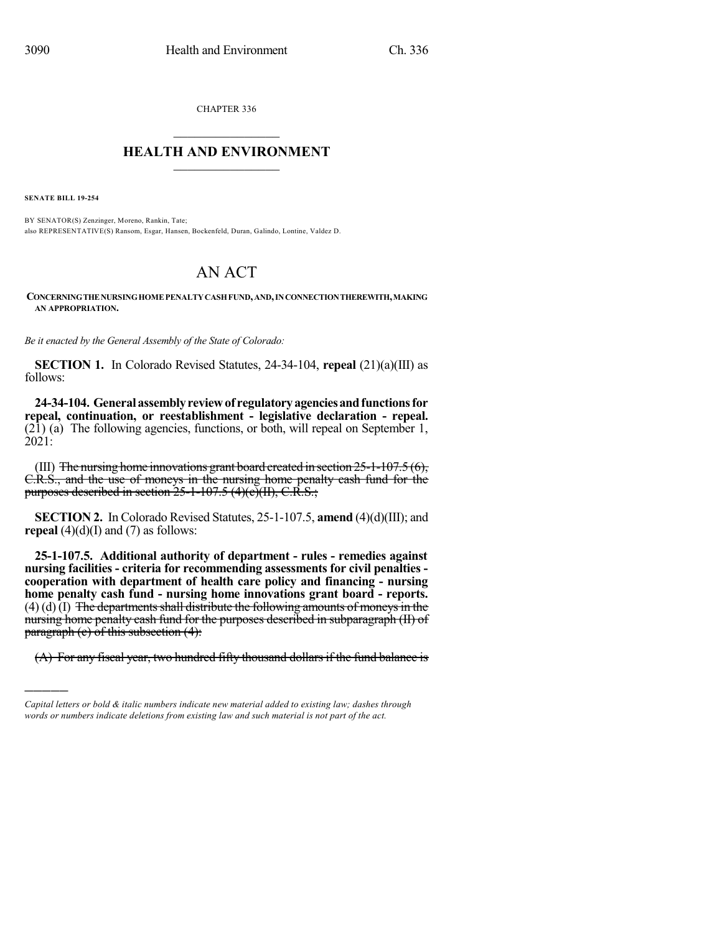CHAPTER 336

## $\mathcal{L}_\text{max}$  . The set of the set of the set of the set of the set of the set of the set of the set of the set of the set of the set of the set of the set of the set of the set of the set of the set of the set of the set **HEALTH AND ENVIRONMENT**  $\_$

**SENATE BILL 19-254**

)))))

BY SENATOR(S) Zenzinger, Moreno, Rankin, Tate; also REPRESENTATIVE(S) Ransom, Esgar, Hansen, Bockenfeld, Duran, Galindo, Lontine, Valdez D.

## AN ACT

**CONCERNINGTHENURSINGHOMEPENALTYCASHFUND,AND,INCONNECTIONTHEREWITH,MAKING AN APPROPRIATION.**

*Be it enacted by the General Assembly of the State of Colorado:*

**SECTION 1.** In Colorado Revised Statutes, 24-34-104, **repeal** (21)(a)(III) as follows:

**24-34-104. Generalassemblyreviewof regulatoryagenciesandfunctionsfor repeal, continuation, or reestablishment - legislative declaration - repeal.** (21) (a) The following agencies, functions, or both, will repeal on September 1, 2021:

(III) The nursing home innovations grant board created in section  $25$ -1-107.5 (6), C.R.S., and the use of moneys in the nursing home penalty cash fund for the purposes described in section  $25$ -1-107.5 (4)(c)(II), C.R.S.;

**SECTION 2.** In Colorado Revised Statutes, 25-1-107.5, **amend** (4)(d)(III); and **repeal**  $(4)(d)(I)$  and  $(7)$  as follows:

**25-1-107.5. Additional authority of department - rules - remedies against nursing facilities - criteria for recommending assessments for civil penalties cooperation with department of health care policy and financing - nursing home penalty cash fund - nursing home innovations grant board - reports.**  $(4)$  (d)  $(I)$  The departments shall distribute the following amounts of moneys in the nursing home penalty cash fund for the purposes described in subparagraph (II) of paragraph (e) of this subsection (4):

 $(A)$  For any fiscal year, two hundred fifty thousand dollars if the fund balance is

*Capital letters or bold & italic numbers indicate new material added to existing law; dashes through words or numbers indicate deletions from existing law and such material is not part of the act.*